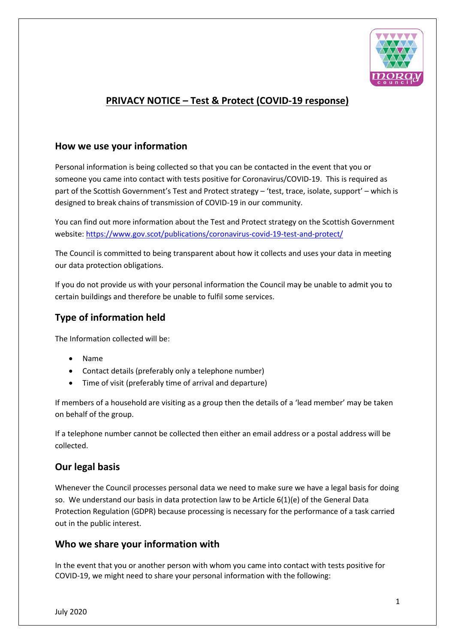

# **PRIVACY NOTICE – Test & Protect (COVID-19 response)**

#### **How we use your information**

Personal information is being collected so that you can be contacted in the event that you or someone you came into contact with tests positive for Coronavirus/COVID-19. This is required as part of the Scottish Government's Test and Protect strategy – 'test, trace, isolate, support' – which is designed to break chains of transmission of COVID-19 in our community.

You can find out more information about the Test and Protect strategy on the Scottish Government website[: https://www.gov.scot/publications/coronavirus-covid-19-test-and-protect/](https://www.gov.scot/publications/coronavirus-covid-19-test-and-protect/)

The Council is committed to being transparent about how it collects and uses your data in meeting our data protection obligations.

If you do not provide us with your personal information the Council may be unable to admit you to certain buildings and therefore be unable to fulfil some services.

## **Type of information held**

The Information collected will be:

- Name
- Contact details (preferably only a telephone number)
- Time of visit (preferably time of arrival and departure)

If members of a household are visiting as a group then the details of a 'lead member' may be taken on behalf of the group.

If a telephone number cannot be collected then either an email address or a postal address will be collected.

## **Our legal basis**

Whenever the Council processes personal data we need to make sure we have a legal basis for doing so. We understand our basis in data protection law to be Article 6(1)(e) of the General Data Protection Regulation (GDPR) because processing is necessary for the performance of a task carried out in the public interest.

#### **Who we share your information with**

In the event that you or another person with whom you came into contact with tests positive for COVID-19, we might need to share your personal information with the following: